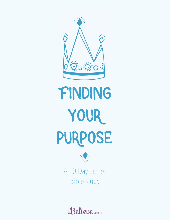

# Finding your purpose



A 10-Day Esther Bible study

*iBelieve.com*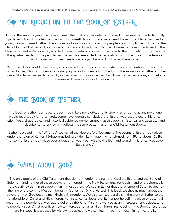

During the seventy years the Jews suffered their Babylonian exile, God raised up several people to faithfully guide and direct His fallen people back to Himself. Among these were Zerubbabel, Ezra, Nehemiah, and a young woman named Esther. The actions and examples of these four people are worthy to be included in the Hall of Faith of Hebrews 11, yet none of them were. In fact, the only one of these four even mentioned in the New Testament is Zerubbabel, who led the initial return of some of the Jews to their homeland. Ezra became the spiritual leader of the people, and he and Nehemiah led the reconstruction of the city and the temple, and the revival of their lives to once again be who God called them to be.

Yet none of this would have been possible apart from the courageous stand and intervention of the young woman Esther, who found herself in a unique place of influence with the King. The examples of Esther and her cousin Mordecai can teach us much, as can other principles we can draw from their experiences, and help us to make a difference for God in our world.



The Book of Esther is unique. It reads much like a novelette, and its story is as gripping as any novel one would read today. Unfortunately, some have wrongly concluded that Esther was just a piece of historical fiction. Yet archaeological and historical evidence demonstrates that this book is historical and accurate, and despite its literary form, it follows the same pattern as other Old Testament Books.

Esther is placed in the "Writings" section of the Hebrew Old Testament. The events of Esther took place under the reign of Xerxes 1 (Ahasuerus being a title, like Pharaoh), who reigned from 486 to about 465 BC. The story of Esther took place over about a ten-year span (483 to 473 BC), and would fit historically between Ezra 6 and 7.



The only books of the Old Testament that do not mention the name of God are Esther and the Song of Solomon, and neither of these books is mentioned in the New Testament. Yet God's hand of providence is more clearly evident in this book than in most others. We see in Esther that the attempt of Satan to destroy the line of the coming Messiah, begun in Genesis 3:15, is thwarted. This book teaches us much about the sovereignty of God despite mankind's evil intentions. We also can see parallels in the story of Esther to the relationship of Christ and His children. For instance, as Jesus did, Esther put herself in a place of potential death for the people, but was approved of by the King. Also, she worked as an intercessor and advocate for the people just as Christ ever lives now to intercede for us as His children. Yes, God is in the Book of Esther, as are His specific purposes for His own people, and we can learn much from examining it carefully.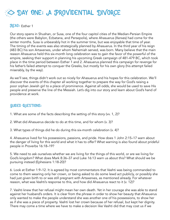

### **READ:** Esther 1

Our story opens in Shushan, or Susa, one of the four capitol cities of the Median-Persian Empire (the others were Babylon, Ecbatana, and Persepolis), where Ahasuerus (Xerxes) had come for the winter months. Susa is unbearably hot in the summer time, but was enjoyable that time of year. The timing of the events was also strategically planned by Ahasuerus. In the third year of his reign (483 BC) his son Artaxerxes, under whom Nehemiah served, was born. Many believe that the main reason Ahasuerus held this six-month long celebration was to gain the favor of the powerful of the empire, seeking their support in planning his upcoming Greek campaign of 481-479 BC, which took place in the time period between Esther 1 and 2. Ahasuerus planned this campaign for revenge for his father's failed attempt to conquer the Greeks, but mostly for his own glory (his attempt failed miserably, by the way).

As we'll see, things didn't work out so nicely for Ahasuerus and his hopes for this celebration. We'll discover the events of this chapter all working together to prepare the way for God's raising a poor orphan Jewish girl to a place of prominence. Against all odds, she would be used to save His people and preserve the line of the Messiah. Let's dig into our story and learn about God's hand of providence at work.

### Guided Questions:

- 1. What are some of the facts describing the setting of this story (vv. 1, 2)?
- 2. What did Ahasuerus decide to do at this time, and for whom (v. 3)?
- 3. What types of things did he do during this six-month celebration (v. 4)?

4. Ahasuerus lived for his possessions, passions, and pride. How does 1 John 2:15–17 warn about the danger of living for this world and what it has to offer? What warning is also found about prideful people in Proverbs 16:18–19?

5. We need to ask ourselves whether we are living for the things of this world, or are we living for God's kingdom? What does Mark 8:36–37 and Luke 16:13 warn us about this? What should we be pursuing instead (Ephesians 1:18-20)?

6. Look at Esther 1:9–12. It is agreed by most commentators that Vashti was being commanded to come to them wearing only her crown, or being asked to do some lewd act publicly, or possibly she had just given birth to or was still pregnant with Artaxerxes, as mentioned already. For whatever reason, what was Vashti's response to this, and how did Ahasuerus react to it (v. 12)?

7. Vashti knew that her refusal might mean her own death. Yet in her courage she was able to stand against her husband's orders. It is clear from the phrase in order to show her beauty that Ahasuerus only wanted to make the people understand she was another one of his possessions, to show her as if she was a piece of property. Vashti lost her crown because of her refusal, but kept her dignity. There may come a time where we have to make a decision like Vashti did that may cost us if we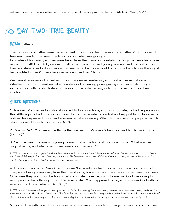# **DAY TWO: TRUE BEAUTY**

### **READ:** Esther 2

The translators of Esther were quite genteel in how they dealt the events of Esther 2, but it doesn't take much reading between the lines to know what was going on.

Estimates of how many women were taken from their families to satisfy the king's perverse lusts have ranged from 400 to 1,460; saddest of all is that these misused young women lived the rest of their lives in a state of widowhood more than marriage! Each one would only come back to see the king if he delighted in her ("unless he especially enjoyed her," NLT).

We cannot over-remind ourselves of how dangerous, enslaving, and destructive sexual sin is. Whether it is through real sexual encounters or by viewing pornography or other similar things, sexual sin can ultimately destroy our lives and has a damaging, victimizing effect on the others involved.

### Guided Questions:

1. Ahasuerus' anger and alcohol abuse led to foolish actions, and now, too late, he had regrets about this. Although he had concubines, he no longer had a wife to comfort and support him. His servants noticed his depressed mood and surmised what was wrong. What did they begin to propose, which obviously would catch his attention (v. 2)?

2. Read vv. 5-9. What are some things that we read of Mordecai's historical and family background (vv. 5, 6)?

3. Next we meet the amazing young woman that is the focus of this book, Esther. What was her original name, and what else do we learn about her in v. 7?

NOTE: Hadassah meant "myrtle," and her Persian name Esther meant "star." Both names reflected her beauty and character. Lovely and beautiful (lovely in form and features) means that Hadassah was truly beautiful from the human perspective, with beautiful form and body shape; she had a healthy, good looking appearance.

4. The young women of Susa knew this wasn't a beauty contest they had a choice to enter or not. They were being taken away from their families, by force, to have one chance to become the queen. Otherwise they would still be his concubine for life, never returning home. Yet God was going to work providentially through this in Hadassah's life. What happened to her, and how was God with her even in this difficult situation (vv. 8, 9)?

NOTE: It wasn't Hadassah's physical beauty alone that led to her having favor and being treated kindly and even being preferred by the steward Hegai. The phrase she obtained his favor literally meant "she lifted up grace before his face." It was the grace and light of God shining from her that truly made her attractive and gained her favor with "in the eyes of everyone who saw her" (v. 14).

5. God will be with us and go before us when we are in the midst of things we have no control over.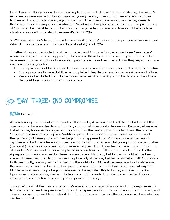He will work all things for our best according to His perfect plan, as we read yesterday. Hadassah's experiences were similar to those of another young person, Joseph. Both were taken from their families and brought into slavery against their will. Like Joseph, she would be one day raised to the palace despite being in such a situation. What were Joseph's conclusions about the providence of God when he was able to look back on the things he had to face, and how can it help us face situations we don't understand (Genesis 45:5-8; 50:20)?

6. We again see God's hand of providence at work raising Mordecai to the position he was assigned. What did he overhear, and what was done about it (vv. 21, 22)?

7. Esther 2 has also reminded us of the providence of God in action, even on those "small days" where nothing seems to be happening. Think about these three truths we can glean from what we have seen in Esther about God's sovereign providence in our lives. Record how they impact how you view each day of your life.

- God's plans cannot be hindered by world events, whether they are spiritual or earthly in nature.
- God's purposes for us will still be accomplished despite our own human weakness and failure.
- We are not excluded from His purposes because of our background, hardships, or handicaps that could exclude us from worldly success.

### **DAY THREE: JNO COMPROMISE**

### **READ: Esther 3**

After returning from defeat at the hands of the Greeks, Ahasuerus realized that he had cut off the one he would have wanted to comfort him, and probably sank into depression. Knowing Ahasuerus' lustful nature, his servants suggested they bring him the best virgins of the land, and the one he "enjoyed" the most would replace Vashti as queen. He quickly accepted their suggestion, and the gathering of these young women began. It so happened that Mordecai, one of the Jewish captives who had made his way into service for the king, had a beautiful young cousin named Esther (Hadassah). She was also taken, but those selecting her didn't know her heritage. Through this turn of events, Mordecai and Esther were placed into position to fulfill the purposes God had for them. A preparation period was set for these women to beautify them, but Esther brought all the beauty she would need with her. Not only was she physically attractive, but her relationship with God shone forth beautifully, leading her to find favor in the sight of all. Once Ahasuerus saw this lovely woman, the search was over, and he made her queen the next day. Esther 2 closes in an unusual way with Mordecai overhearing a plot against Ahasuerus. He reported this to Esther, and she to the King. Upon investigation of this, the two plotters were put to death. This obscure incident will play an important role in a future study at a pivotal point in the story.

Today we'll read of the great courage of Mordecai to stand against wrong and not compromise his faith despite tremendous pressure to do so. The repercussions of this stand would be significant, and clear action was required to counter it. Let's turn to the next phase of the story now and see what we can learn from it.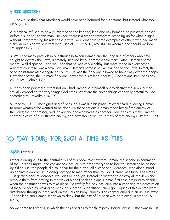### Guided Questions:

1. One would think that Mordecai would have been honored for his actions, but instead what took place (v. 1)?

2. Mordecai refused to bow (humbly bend the knee to) let alone pay homage (to prostrate oneself before a superior) to this man. He knew there is a time to transgress, standing up for what is right without compromising his relationship with God. What are some examples of others who had made a similar decision while in that land (Daniel 1:8, 3:15–18, 6:6–10)? To whom alone should we bow (Philippians 2:9–11)?

3. We'll see many parallels in our studies between Haman and the long line of others who have sought to destroy the Jews, ultimately inspired by our greatest adversary, Satan. Haman's name meant "well disposed," and we'll see that he was very wealthy, but morally and in every other way that counts he was a small, evil man; Haman's name is still an evil one to the Jews. In fact, the Septuagint translates Agagite as "bully!" He was the fiery one allowed to have sway over the people. How does Satan, the ultimate fiery one, now have a similar authority (2 Corinthians 4:4; Ephesians 2:2, 6:12; 1 John 5:19)?

4. It has been pointed out that not only had Haman sold himself out to destroy the Jews, but he actually embodied the very things God hates! What are the seven things especially hateful to God according to Proverbs 6:16-19?

5. Read vv. 10-12. The signet ring of Ahasuerus was like his platinum credit card, allowing Haman to order whatever he wanted to be done. By these actions, Haman made himself the enemy of the Jews; their oppressor, rival, adversary, one who harasses another. How does this make Haman another picture of our ultimate enemy, and how should we live in view of that enemy (1 Peter 5:8, 9)?

# $\gg$  DAY FOUR: FOR SUCH A TIME AS THIS

### **READ: Esther 4**

Esther 3 brought us to the central crisis of this book. We saw that Haman, the second in command of the Persian Empire, had convinced Ahasuerus to order everyone to bow to Haman as he passed by. Of course, the people did so in fear for their lives. All except one: Mordecai, who alone stood up against compromise in doing homage to man rather than to God. Haman was furious as a result. Just getting back at Mordecai wouldn't be enough. Instead he wanted to destroy all the Jews and remove them from getting in the way of his self-seeking plans. Haman first cast lots (pur) to decide when the destruction was to take place. He craftily fooled Ahasuerus into authorizing the destruction of these people by playing on Ahasuerus' greed, superstition, and ego. Copies of this decree were distributed throughout the land via the Persian Pony Express. The chapter ended in an unusual way: "So the king and Haman sat down to drink, but the city of Shushan was perplexed" (Esther 3:15, NKJV).

So we come to Esther 4, in which the crisis begins to reach its peak. Being Jewish, Esther was in just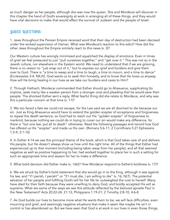as much danger as her people, although she was now the queen. She and Mordecai will discover in this chapter the hand of God's sovereignty at work in arranging all of these things, and they would have vital decisions to make that would effect the survival of Judaism and the people of Israel.

### Guided Questions:

1. Jews throughout the Persian Empire received word that their day of destruction had been decreed under the wicked supervision of Haman. What was Mordecai's reaction to this edict? How did the other Jews throughout the Empire similarly react to this news (v. 3)?

Our Western culture has wrongly minimized and squelched the display of emotions. Even in times of grief we feel pressured to just "pull ourselves together," and "get over it." This was not so in the Jewish culture, nor elsewhere in the Eastern world. We need to understand that if we are grieving, there is no reason to "just snap out of it," but to express our grief and burdens and give them over to God. There is "a time to weep and a time to laugh; a time to mourn, and a time to dance" (Ecclesiastes 3:4, NKJV). God wants us to seek Him honestly, and to know that He loves us anyway. How will He bring healing in our lives as we take our burdens and cares to Him?

2. Through Hathach, Mordecai commanded that Esther should go to Ahasuerus, supplicating (to implore, seek mercy like a weaker person from a stronger one) and pleading that he would save their people. The shocked Esther sent a reply. What fearful thing did she relate to Mordecai, and why was this a particular concern at that time (v. 11)?

3. We too faced a fate we could not escape, for the Law said we are all doomed to die because our sin. Just as King Ahasuerus would have to extend the golden scepter of acceptance and forgiveness to repeal the death sentence, so God had to reach out His "golden scepter" of forgiveness to mankind, because nothing we could do in trying to cover our sin would make any difference, for there is "but one law: put all to death" otherwise. Read the following passages and record how God has offered us His "scepter" and made us His own. (Romans 5:6-11; 2 Corinthians 5:21 Ephesians 1:3-9; 2:1-10)

4. In Esther 4:14 we see the principal theme of the book, which is that God takes care of and delivers His people, but He doesn't always show us how until the right time. All of the things that Esther had experienced up to that moment (including being taken away from her people), and all that seemed negative as well as positive happening to her, had worked together to place her in such a setting for such an appropriate time and season for her to make a difference.

5. What bold decision did Esther make (v. 16b)? How Mordecai respond to Esther's boldness (v. 17)?

6. We are struck by Esther's bold statement that she would go in to the King, although it was against his law, and "if I perish, I perish!" or "If I must die, I am willing to die" (v. 16, NLT). The potential salvation of her people and fulfilling God's will for her life far outweighed the cost to herself. Many have died for their faith because they were unwilling to deny God, and boldly accepted His will as supreme. What are some of the ways we see this attitude reflected by the beloved apostle Paul in the New Testament? Acts 20:22-24, 21:13; Philippians 1:19-21; 2 Timothy 2:8-10, 4:6-8

7. As God builds our lives to become more what He wants them to be, we will face difficulties, even mourning and grief, and seemingly negative situations that make it seem like maybe He isn't in control or has abandoned us. But we have seen that God is at work in our lives in even those things,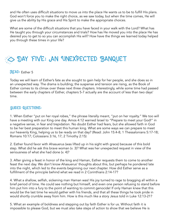and He often uses difficult situations to move us into the place He wants us to be to fulfill His plans. God won't force you to make the right choice, as we saw today, but when the time comes, He will give us the ability by His grace and His Spirit to make the appropriate choices.

What are some of the difficult situations that you have faced in your walk with the Lord? What has He taught you through your circumstances and trials? How has He moved you into the place He has desired you to get to so you can accomplish His will? How have the things we learned today helped you through these times in your life?

# SO DAY FIVE: AN UNEXPECTED BANQUET

### **READ: Esther 5**

Today we will learn of Esther's fate as she sought to gain help for her people, and she does so in an unexpected way. The drama is building; the suspense and tension are rising, as the Book of Esther comes to its climax over these next three chapters. Interestingly, while some time had passed between the early chapters of Esther, chapters 5-7 actually are the account of less than two days' time.

### Guided Questions:

1. When Esther "put on her royal robes," the phrase literally meant, "put on her royalty." We too will have a meeting with our King one day. Amos 4:12 warned Israel to "Prepare to meet your God!" in a negative sense, in fear and trepidation. No doubt Esther had fears, but she allowed faith in God to be her best preparation to meet this human king. What are some ways we can prepare to meet our heavenly King, helping us to be ready on that day? (Read: John 15:4-8; 1 Thessalonians 5:17-18; Romans 10:17; Colossians 3:16, 17; 2 Timothy 2:15)

2. Esther found favor with Ahasuerus (was lifted up in his sight with grace) because of this bold step. What did he ask this brave woman (v. 3)? What was her unexpected request in view of the seriousness of what she had done (v. 4)?

3. After giving a feast in honor of the king and Haman, Esther requests them to come to another feast the next day. We don't know Ahasuerus' thoughts about this, but perhaps he pondered late into the night, which led to the events beginning our next chapter. How did Esther serve as a fulfillment of the principle behind what we read in 2 Corinthians 2:14-17?

4. What a shallow, selfish, sickening man Haman was! His joy turned to rage to bragging all within a brief period of time. He could see nothing but himself, and even one person refusing to stand before him put him into a fury to the point of wanting to commit genocide! If only Haman knew that this would be the last time he would gather with his friends, and that all these things he took pride in would shortly crumble away from him. How is this much like a story Jesus told in Luke 12:13-21?

5. What an example of boldness and stepping out by faith Esther is for us. Without faith it is impossible to please God, but we must also take steps of action to show that we believe He is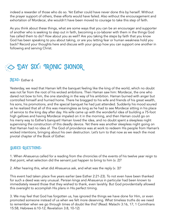indeed a rewarder of those who do so. Yet Esther could have never done this by herself. Without the prayer support of others, these efforts would have failed. Also without the encouragement and exhortation of Mordecai, she wouldn't have been moved to courage to take this step of faith.

As you think about these things, what are some ways that you can be an encourager and supporter of another who is seeking to step out in faith, becoming a co-laborer with them in the things God has called them to do? How about you as well? Are you taking the steps by faith that you know God has been speaking to you about taking, or are you letting fear or human weakness hold you back? Record your thoughts here and discuss with your group how you can support one another in following and serving Christ.

# **DAY SIX: TRONIC HONOR**

### **READ:** Esther 6

Yesterday, we read that Haman left the banquet feeling like the king of the world, which no doubt was not far from the root of his wicked ambitions. Then Haman saw him: Mordecai, the one who dared not bow to him, the one standing in the way of his ambition. Haman burned with anger but controlled himself and hurried home. There he bragged to his wife and friends of his great wealth, his sons, his promotions, and the special banquet he had just attended. Suddenly his mood soured as he realized that all of this was meaningless as long as he had to see Mordecai sitting in his place of service to the king day after day. His wife came up with the wonderful idea of building a 75-foot high gallows and having Mordecai impaled on it in the morning, and then Haman could go on his merry way to Esther's banquet! Haman loved the idea, and no doubt spent a sleepless night supervising the construction of this deadly device. Yet there was another sleepless night going on that Haman had no idea of. The God of providence was at work to redeem His people from Haman's wicked intentions, bringing about his own destruction. Let's turn to that now as we reach the most pivotal chapter of the Book of Esther.

### Guided Questions:

1. When Ahasuerus called for a reading from the chronicles of the events of his twelve year reign to that point, what selection did the servant just happen to bring to him (v. 2)?

2. After hearing this, what did Ahasuerus ask, and what was the reply (v. 3)?

This event had taken place five years earlier (see Esther 2:21-23). To not even have been thanked for such a deed was very unusual. Persian kings and Ahasuerus in particular had been known to immediately reward those that they wished to thank, even lavishly. But God providentially allowed this oversight to accomplish His plans in His perfect timing.

3. We may feel that God has forgotten us, has ignored the things we have done for Him, or even promoted someone instead of us when we felt more deserving. What timeless truths do we need to remember when we go through times of doubt like this? (Read: Malachi 3:16, 17; 1 Corinthians 15:58; Hebrews 6:10-12; Revelation 3:8, 10-12)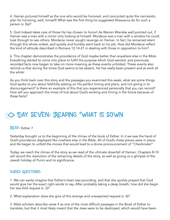4. Haman pictured himself as the one who would be honored, and concocted quite the narcissistic plan for honoring, well, himself! What was the first thing he suggested Ahasuerus do for such a person (v. 8a)?

5. God indeed takes care of those He has chosen to honor! As Warren Wiersbe well pointed out, if Haman was a man with a mirror only looking at himself, Mordecai was a man with a window he could look through to see others. Mordecai never sought revenge on Haman. In fact, he remained silent through this whole ordeal, and quietly and humbly went back to his job. How did Mordecai reflect the kind of attitude described in Romans 12:14-21 in dealing with those in opposition to him?

6. This chapter demonstrates the providence of God maybe better than anywhere else in the Bible. Everything started to come into place to fulfill the purpose which God wanted, and previously recorded facts now began to take on more meaning as these events unfolded. These events also remind us that during the times God seems to be absent, He has really been present and at work all the while!

As you think back over this story and the passages you examined this week, what are some things God spoke to you about faithfully waiting on His perfect timing and plans, and not giving in to discouragement? Is there an example of this that you experienced personally that you can record? How will you approach the times of trial about God's working and timing in the future because of these facts?

# $\gg$  DAY SEVEN: REAPING WHAT IS SOWN

### **READ: Esther 7**

Yesterday brought us to the beginning of the climax of the book of Esther. In it we saw the hand of God's providence displayed like nowhere else in the Bible. All of God's chess pieces were in place, and He began to unfold the moves that would lead to a divine pronouncement of "Checkmate!"

Today, we reach the climax of the story as we read of the ultimate downfall of Haman. Chapters 8-10 will record the resolution of the remaining details of the story, as well as giving us a glimpse of the Jewish holiday of Purim and its significance.

### guided questions:

1. We can easily imagine that Esther's heart was pounding, and that she quickly prayed that God would give her the exact right words to say. After probably taking a deep breath, how did she begin her two-fold request (v. 3)?

2. What explanation does she give of this strange and unexpected request (v. 4)?

3. Bible scholars describe verse 4 as one of the most difficult passages in the Book of Esther to translate, but that it most likely meant that the Jews were to be destroyed, which would have been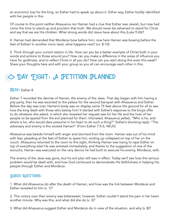an economic loss for the king, so Esther had to speak up about it. Either way, Esther boldly identified with her people in this.

Of course to this point neither Ahasuerus nor Haman had a clue that Esther was Jewish, but now had come the time to stand up and proclaim that truth. We should never be ashamed to stand for Christ and say that we are His children. What strong words did Jesus have about this (Luke 9:26)?

4. Haman had demanded that Mordecai bow before him; now here Haman was bowing before the feet of Esther! In another ironic twist, what happens next? (vv. 8-10)

5. Think through your current station in life. How can you be a better example of Christ both in your words and actions to those around you? How can you make a difference in the areas of influence you have for godliness, and to reflect Christ in all you do? How can you start doing this even this week? Share your thoughts here and with your group so you all can encourage each other in this.

### $\gg$  DAY EIGHT: A PETITION PLANNED

#### **READ:** Esther 8

Esther 7 recorded the demise of Haman, the enemy of the Jews. That day began with him having a pity party, then he was escorted to the palace for the second banquet with Ahasuerus and Esther. Before the day was over, Haman's body was on display some 75 feet above the ground for all to see how the king dealt with those who betray him! It started with Esther's response to the king's offer to do whatever she asked, in which she revealed her request was for her life and the lives of her people to be spared from the evil planned for them. Infuriated, Ahasuerus yelled, "Who is he, and where is he, who would dare presume in his heart to do such a thing?" Esther's shocking reply: "The adversary and enemy is this wicked Haman!" (From Esther 7:5-6, NKJV).

Ahasuerus was beside himself with anger and stormed from the room. Haman was out of his mind with fear, pleading at the feet of Esther to spare him, ending up collapsed on top of her on the couch. Ahasuerus returned to the room to this sight, thinking Haman was trying to rape Esther on top of everything else! He was arrested immediately, and thanks to the suggestion of one of the eunuchs, Haman was executed on the very device he had built to execute his enemy, Mordecai, with.

The enemy of the Jews was gone, but his evil plan still was in effect. Today we'll see how this serious problem would be dealt with, and how God continued to demonstrate His faithfulness in helping His people through Esther and Mordecai.

#### Guided Questions:

1. What did Ahasuerus do after the death of Haman, and how was the link between Mordecai and Esther revealed to him (v. 1)?

2. This victory over their enemy was bittersweet, however. Esther couldn't stand the pain in her heart another minute. Why was this, and what did she do (v. 3)?

3. What did Ahasuerus suggest Esther and Mordecai do in view of the situation, and why (v. 8)?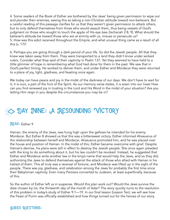4. Some readers of the Book of Esther are bothered by the Jews' being given permission to wipe out and plunder their enemies, seeing this as taking a non-Christian attitude toward non-believers. But a careful reading of this passage clarifies for us that they weren't given permission to attack others, but to only defend themselves from those who would assault them, thus being vessels of God's judgment on those who sought to touch the apple of His eye (see Zechariah 2:8, 9). What should the believer's attitude be toward those who are at enmity with us, misuse or persecute us? 5. How was this edict received throughout the Empire, and what unusual thing came as a result of all this (v. 17)?

6. Perhaps you are going through a dark period of your life. So did the Jewish people. All that they knew was taken away from them. They were transported to a land they didn't know under wicked rulers. Consider what they said of their captivity in Psalm 137. Yet they seemed to have held to a little glimmer of hope in remembering what God had done for them in the past. We saw that in God's perfect timing, He worked to deliver them, and under Esther and Mordecai they were returned to a place of joy, light, gladness, and feasting once again.

We today can have peace and joy in the midst of the darkness of our days. We don't have to wait for it; it is ours, a part of the fruit of the Spirit. As our memory verse states, it is sown into our lives! How can you find renewed joy in trusting in the Lord and His Word in the midst of your situation? Are you letting Him reign in you despite the circumstances you may be in?

# **DAY JUNE: A RESOUNDING VICTORY**

### **READ: Esther 9**

Haman, the enemy of the Jews, was hung high upon the gallows he intended for his enemy Mordecai. But Esther 8 showed us that this was a bittersweet victory. Esther informed Ahasuerus of the relationship between herself and Mordecai, Ahasuerus promoted him, and he was placed over the house and position of Haman. In the midst of this, Esther became overcome with grief. Despite Haman's demise, his plans were still in effect to destroy the Jewish people. She once again pleaded with the king to do something about it, but his law couldn't be revoked. Instead, he suggested that Esther and Mordecai write another law in the king's name that would help the Jews, and so they did, authorizing the Jews to defend themselves against the attack of those who allied with Haman in his hatred of them. This all truly was a reversal of fortune, and Mordecai was lifted up in the sight of the people. There was joy, gladness, and celebration among the Jews for probably the first time since their Babylonian captivity. Even many Persians converted to Judaism, at least superficially, because of this.

So the author of Esther left us in suspense. Would this plan work out? Would the Jews survive the date chosen by lot, the thirteenth day of the month of Adar? The story quickly turns to the resolution of this problem in today's study of Esther 9:1—19. In our final lesson (Lesson Ten), we will see how the Feast of Purim was officially established and how things turned out for the heroes of our story.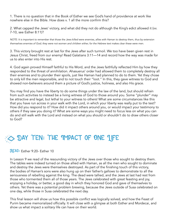1. There is no question that in the Book of Esther we see God's hand of providence at work like nowhere else in the Bible. How does v. 1 all the more confirm this?

2. What capped the Jews' victory, and what did they not do although the King's edict allowed it (vv. 7-10, see Esther 8:11)?

NOTE: It is important to remember that those the Jews killed were enemies, allies with Haman to destroy them, thus by extension themselves enemies of God; they were not women and children either, for the Hebrew text makes clear these were men.

3. This victory brought rest at last for the Jews after such turmoil. We too have been given rest in Jesus Christ, freed from our enemy! Read Galatians 3:11—14 and record how the way was made for us to also enter into His rest.

4. God again proved Himself faithful to His Word, and the Jews faithfully reflected Him by how they responded to the threat of annihilation. Ahasuerus' order had allowed them to completely destroy all their enemies and to plunder their spoils, just like Haman had planned to do to them. Yet they chose to only kill the men responsible, and to not touch their "loot." In this, they gave witness to God and showed non-believers around them a picture of God's justice, holiness, and also His grace.

You may find you have the liberty to do some things under the law of the land, but should refrain from such activities to instead be a living witness of God to those around you. Some "plunder" may be attractive and legal, but lethal to your witness to others! What are some circumstances like this that you have run across in your walk with the Lord, in which your liberty was really put to the test? How did you respond to it? How did it impact others around you, or would impact your testimony to others if they saw you doing it? What are some ways you might need to focus less on what you can do and still walk with the Lord and instead on what you should or shouldn't do to draw others closer to God?

# $\gg$  DAY TEN: THE IMPACT OF ONE JIFE

**READ: Esther 9:20- Esther 10** 

In Lesson 9 we read of the resounding victory of the Jews over those who sought to destroy them. The tables were indeed turned on those allied with Haman, as all the men who sought to dominate and destroy the Jews were themselves destroyed. As part of the finishing touch of this victory, the bodies of Haman's sons were also hung up on their father's gallows to demonstrate to all the seriousness of rebelling against the king. The dead were tallied, and the Jews at last had rest from those who tormented them all of those years. The Jews celebrated with great feasting and joy, enjoying a holiday, or better, a good day in which they honored God and gave of themselves to others. Yet there was a potential problem brewing, because the Jews outside of Susa celebrated on one day, while those in Susa celebrated the next day.

This final lesson will show us how this possible conflict was logically solved, and how the Feast of Purim became memorialized officially. It will close with a glimpse at both Esther and Mordecai, and show us what impact a solitary life can have on their world.